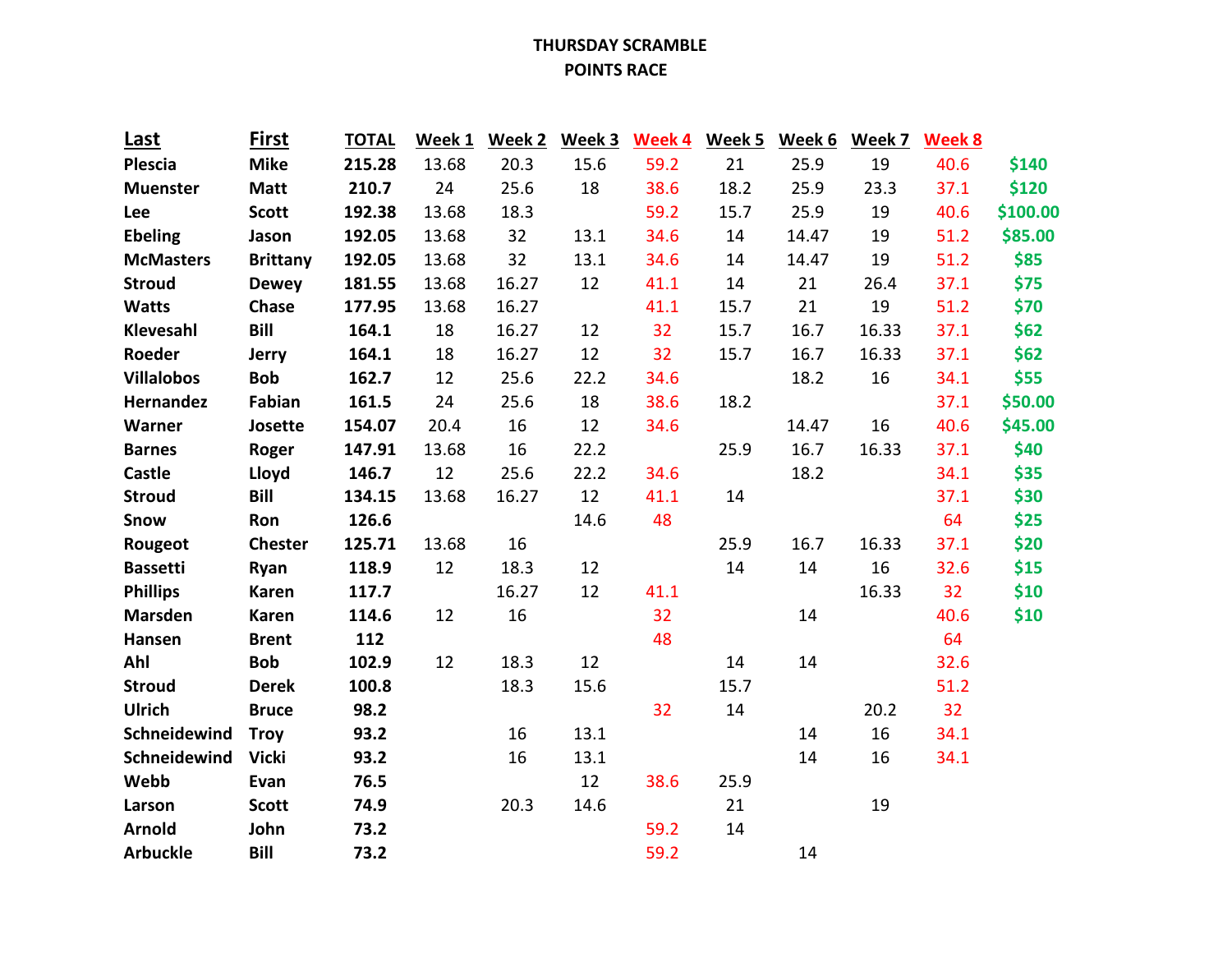## **THURSDAY SCRAMBLE POINTS RACE**

| <u>Last</u>       | <b>First</b>    | <b>TOTAL</b> | Week 1 | Week 2 | Week 3 | Week 4 | Week 5 | Week 6 | Week 7 | <b>Week 8</b> |          |
|-------------------|-----------------|--------------|--------|--------|--------|--------|--------|--------|--------|---------------|----------|
| <b>Plescia</b>    | <b>Mike</b>     | 215.28       | 13.68  | 20.3   | 15.6   | 59.2   | 21     | 25.9   | 19     | 40.6          | \$140    |
| <b>Muenster</b>   | <b>Matt</b>     | 210.7        | 24     | 25.6   | 18     | 38.6   | 18.2   | 25.9   | 23.3   | 37.1          | \$120    |
| Lee               | <b>Scott</b>    | 192.38       | 13.68  | 18.3   |        | 59.2   | 15.7   | 25.9   | 19     | 40.6          | \$100.00 |
| <b>Ebeling</b>    | Jason           | 192.05       | 13.68  | 32     | 13.1   | 34.6   | 14     | 14.47  | 19     | 51.2          | \$85.00  |
| <b>McMasters</b>  | <b>Brittany</b> | 192.05       | 13.68  | 32     | 13.1   | 34.6   | 14     | 14.47  | 19     | 51.2          | \$85     |
| <b>Stroud</b>     | <b>Dewey</b>    | 181.55       | 13.68  | 16.27  | 12     | 41.1   | 14     | 21     | 26.4   | 37.1          | \$75     |
| <b>Watts</b>      | Chase           | 177.95       | 13.68  | 16.27  |        | 41.1   | 15.7   | 21     | 19     | 51.2          | \$70     |
| Klevesahl         | <b>Bill</b>     | 164.1        | 18     | 16.27  | 12     | 32     | 15.7   | 16.7   | 16.33  | 37.1          | \$62     |
| Roeder            | Jerry           | 164.1        | 18     | 16.27  | 12     | 32     | 15.7   | 16.7   | 16.33  | 37.1          | \$62     |
| <b>Villalobos</b> | <b>Bob</b>      | 162.7        | 12     | 25.6   | 22.2   | 34.6   |        | 18.2   | 16     | 34.1          | \$55     |
| Hernandez         | Fabian          | 161.5        | 24     | 25.6   | 18     | 38.6   | 18.2   |        |        | 37.1          | \$50.00  |
| Warner            | Josette         | 154.07       | 20.4   | 16     | 12     | 34.6   |        | 14.47  | 16     | 40.6          | \$45.00  |
| <b>Barnes</b>     | Roger           | 147.91       | 13.68  | 16     | 22.2   |        | 25.9   | 16.7   | 16.33  | 37.1          | \$40     |
| <b>Castle</b>     | Lloyd           | 146.7        | 12     | 25.6   | 22.2   | 34.6   |        | 18.2   |        | 34.1          | \$35     |
| <b>Stroud</b>     | <b>Bill</b>     | 134.15       | 13.68  | 16.27  | 12     | 41.1   | 14     |        |        | 37.1          | \$30     |
| Snow              | Ron             | 126.6        |        |        | 14.6   | 48     |        |        |        | 64            | \$25     |
| Rougeot           | <b>Chester</b>  | 125.71       | 13.68  | 16     |        |        | 25.9   | 16.7   | 16.33  | 37.1          | \$20     |
| <b>Bassetti</b>   | Ryan            | 118.9        | 12     | 18.3   | 12     |        | 14     | 14     | 16     | 32.6          | \$15     |
| <b>Phillips</b>   | <b>Karen</b>    | 117.7        |        | 16.27  | 12     | 41.1   |        |        | 16.33  | 32            | \$10     |
| <b>Marsden</b>    | <b>Karen</b>    | 114.6        | 12     | 16     |        | 32     |        | 14     |        | 40.6          | \$10     |
| Hansen            | <b>Brent</b>    | 112          |        |        |        | 48     |        |        |        | 64            |          |
| Ahl               | <b>Bob</b>      | 102.9        | 12     | 18.3   | 12     |        | 14     | 14     |        | 32.6          |          |
| <b>Stroud</b>     | <b>Derek</b>    | 100.8        |        | 18.3   | 15.6   |        | 15.7   |        |        | 51.2          |          |
| Ulrich            | <b>Bruce</b>    | 98.2         |        |        |        | 32     | 14     |        | 20.2   | 32            |          |
| Schneidewind      | <b>Troy</b>     | 93.2         |        | 16     | 13.1   |        |        | 14     | 16     | 34.1          |          |
| Schneidewind      | <b>Vicki</b>    | 93.2         |        | 16     | 13.1   |        |        | 14     | 16     | 34.1          |          |
| Webb              | Evan            | 76.5         |        |        | 12     | 38.6   | 25.9   |        |        |               |          |
| Larson            | <b>Scott</b>    | 74.9         |        | 20.3   | 14.6   |        | 21     |        | 19     |               |          |
| <b>Arnold</b>     | John            | 73.2         |        |        |        | 59.2   | 14     |        |        |               |          |
| <b>Arbuckle</b>   | <b>Bill</b>     | 73.2         |        |        |        | 59.2   |        | 14     |        |               |          |